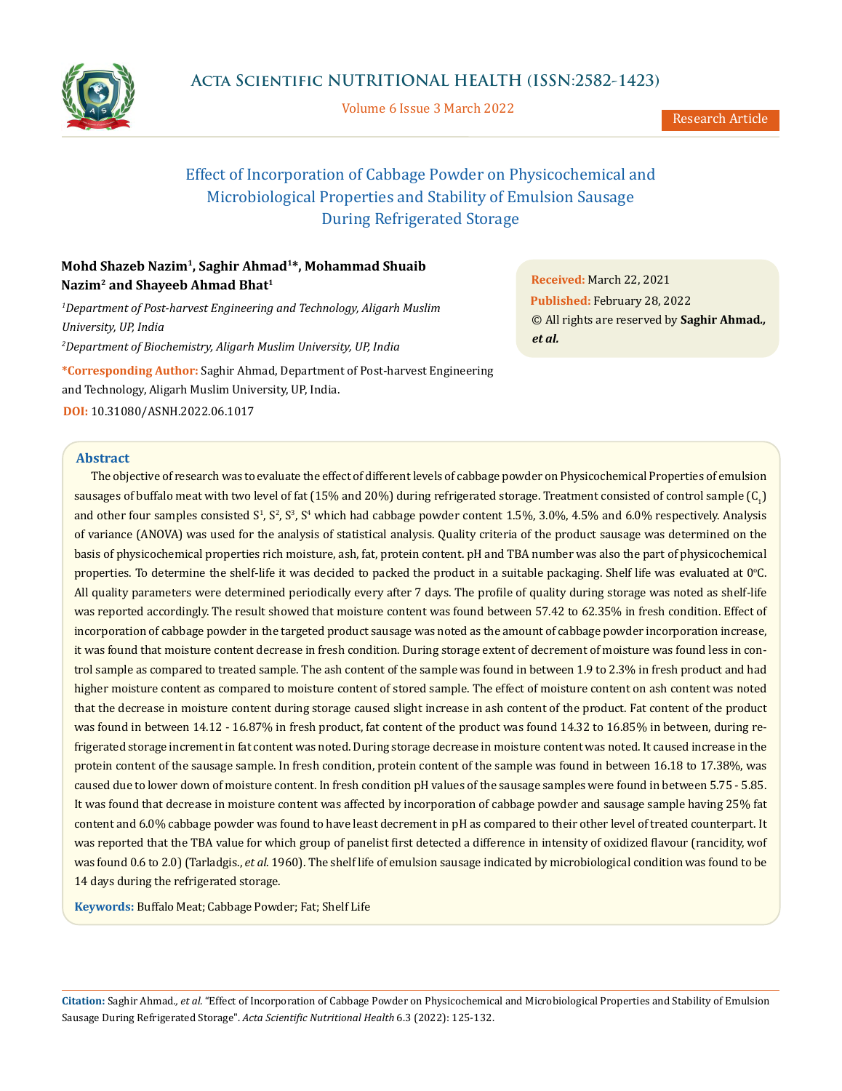

Volume 6 Issue 3 March 2022

# Effect of Incorporation of Cabbage Powder on Physicochemical and Microbiological Properties and Stability of Emulsion Sausage During Refrigerated Storage

## **Mohd Shazeb Nazim1, Saghir Ahmad1\*, Mohammad Shuaib Nazim2 and Shayeeb Ahmad Bhat1**

*1 Department of Post-harvest Engineering and Technology, Aligarh Muslim University, UP, India 2 Department of Biochemistry, Aligarh Muslim University, UP, India*

**\*Corresponding Author:** Saghir Ahmad, Department of Post-harvest Engineering and Technology, Aligarh Muslim University, UP, India. **DOI:** [10.31080/ASNH.2022.06.1017](https://actascientific.com/ASNH/pdf/ASNH-06-1017.pdf)

**Received:** March 22, 2021 **Published:** February 28, 2022 © All rights are reserved by **Saghir Ahmad***., et al.* 

#### **Abstract**

The objective of research was to evaluate the effect of different levels of cabbage powder on Physicochemical Properties of emulsion sausages of buffalo meat with two level of fat (15% and 20%) during refrigerated storage. Treatment consisted of control sample (C<sub>1</sub>) and other four samples consisted  $S^1$ ,  $S^2$ ,  $S^3$ ,  $S^4$  which had cabbage powder content 1.5%, 3.0%, 4.5% and 6.0% respectively. Analysis of variance (ANOVA) was used for the analysis of statistical analysis. Quality criteria of the product sausage was determined on the basis of physicochemical properties rich moisture, ash, fat, protein content. pH and TBA number was also the part of physicochemical properties. To determine the shelf-life it was decided to packed the product in a suitable packaging. Shelf life was evaluated at 0°C. All quality parameters were determined periodically every after 7 days. The profile of quality during storage was noted as shelf-life was reported accordingly. The result showed that moisture content was found between 57.42 to 62.35% in fresh condition. Effect of incorporation of cabbage powder in the targeted product sausage was noted as the amount of cabbage powder incorporation increase, it was found that moisture content decrease in fresh condition. During storage extent of decrement of moisture was found less in control sample as compared to treated sample. The ash content of the sample was found in between 1.9 to 2.3% in fresh product and had higher moisture content as compared to moisture content of stored sample. The effect of moisture content on ash content was noted that the decrease in moisture content during storage caused slight increase in ash content of the product. Fat content of the product was found in between 14.12 - 16.87% in fresh product, fat content of the product was found 14.32 to 16.85% in between, during refrigerated storage increment in fat content was noted. During storage decrease in moisture content was noted. It caused increase in the protein content of the sausage sample. In fresh condition, protein content of the sample was found in between 16.18 to 17.38%, was caused due to lower down of moisture content. In fresh condition pH values of the sausage samples were found in between 5.75 - 5.85. It was found that decrease in moisture content was affected by incorporation of cabbage powder and sausage sample having 25% fat content and 6.0% cabbage powder was found to have least decrement in pH as compared to their other level of treated counterpart. It was reported that the TBA value for which group of panelist first detected a difference in intensity of oxidized flavour (rancidity, wof was found 0.6 to 2.0) (Tarladgis., *et al*. 1960). The shelf life of emulsion sausage indicated by microbiological condition was found to be 14 days during the refrigerated storage.

**Keywords:** Buffalo Meat; Cabbage Powder; Fat; Shelf Life

**Citation:** Saghir Ahmad*., et al.* "Effect of Incorporation of Cabbage Powder on Physicochemical and Microbiological Properties and Stability of Emulsion Sausage During Refrigerated Storage". *Acta Scientific Nutritional Health* 6.3 (2022): 125-132.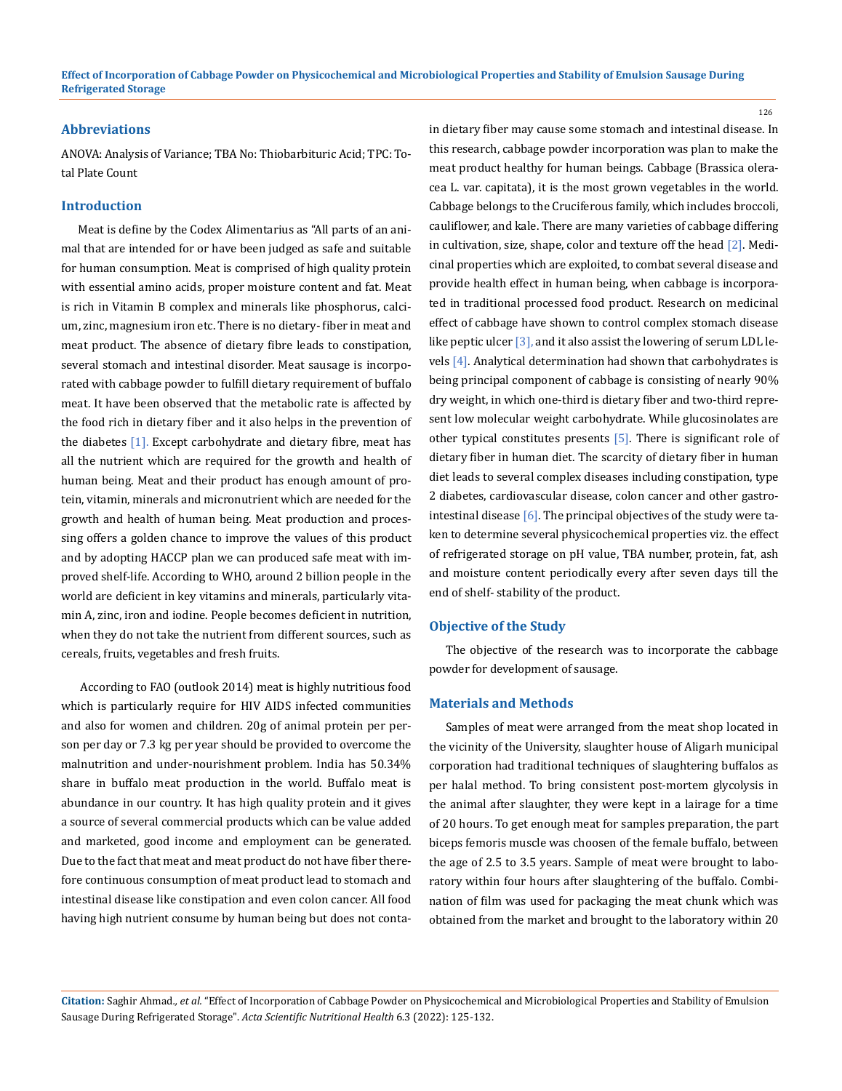#### **Abbreviations**

ANOVA: Analysis of Variance; TBA No: Thiobarbituric Acid; TPC: Total Plate Count

#### **Introduction**

Meat is define by the Codex Alimentarius as "All parts of an animal that are intended for or have been judged as safe and suitable for human consumption. Meat is comprised of high quality protein with essential amino acids, proper moisture content and fat. Meat is rich in Vitamin B complex and minerals like phosphorus, calcium, zinc, magnesium iron etc. There is no dietary- fiber in meat and meat product. The absence of dietary fibre leads to constipation, several stomach and intestinal disorder. Meat sausage is incorporated with cabbage powder to fulfill dietary requirement of buffalo meat. It have been observed that the metabolic rate is affected by the food rich in dietary fiber and it also helps in the prevention of the diabetes [1]. Except carbohydrate and dietary fibre, meat has all the nutrient which are required for the growth and health of human being. Meat and their product has enough amount of protein, vitamin, minerals and micronutrient which are needed for the growth and health of human being. Meat production and processing offers a golden chance to improve the values of this product and by adopting HACCP plan we can produced safe meat with improved shelf-life. According to WHO, around 2 billion people in the world are deficient in key vitamins and minerals, particularly vitamin A, zinc, iron and iodine. People becomes deficient in nutrition, when they do not take the nutrient from different sources, such as cereals, fruits, vegetables and fresh fruits.

 According to FAO (outlook 2014) meat is highly nutritious food which is particularly require for HIV AIDS infected communities and also for women and children. 20g of animal protein per person per day or 7.3 kg per year should be provided to overcome the malnutrition and under-nourishment problem. India has 50.34% share in buffalo meat production in the world. Buffalo meat is abundance in our country. It has high quality protein and it gives a source of several commercial products which can be value added and marketed, good income and employment can be generated. Due to the fact that meat and meat product do not have fiber therefore continuous consumption of meat product lead to stomach and intestinal disease like constipation and even colon cancer. All food having high nutrient consume by human being but does not contain dietary fiber may cause some stomach and intestinal disease. In this research, cabbage powder incorporation was plan to make the meat product healthy for human beings. Cabbage (Brassica oleracea L. var. capitata), it is the most grown vegetables in the world. Cabbage belongs to the Cruciferous family, which includes broccoli, cauliflower, and kale. There are many varieties of cabbage differing in cultivation, size, shape, color and texture off the head [2]. Medicinal properties which are exploited, to combat several disease and provide health effect in human being, when cabbage is incorporated in traditional processed food product. Research on medicinal effect of cabbage have shown to control complex stomach disease like peptic ulcer [3], and it also assist the lowering of serum LDL levels [4]. Analytical determination had shown that carbohydrates is being principal component of cabbage is consisting of nearly 90% dry weight, in which one-third is dietary fiber and two-third represent low molecular weight carbohydrate. While glucosinolates are other typical constitutes presents [5]. There is significant role of dietary fiber in human diet. The scarcity of dietary fiber in human diet leads to several complex diseases including constipation, type 2 diabetes, cardiovascular disease, colon cancer and other gastrointestinal disease [6]. The principal objectives of the study were taken to determine several physicochemical properties viz. the effect of refrigerated storage on pH value, TBA number, protein, fat, ash and moisture content periodically every after seven days till the end of shelf- stability of the product.

#### **Objective of the Study**

The objective of the research was to incorporate the cabbage powder for development of sausage.

## **Materials and Methods**

Samples of meat were arranged from the meat shop located in the vicinity of the University, slaughter house of Aligarh municipal corporation had traditional techniques of slaughtering buffalos as per halal method. To bring consistent post-mortem glycolysis in the animal after slaughter, they were kept in a lairage for a time of 20 hours. To get enough meat for samples preparation, the part biceps femoris muscle was choosen of the female buffalo, between the age of 2.5 to 3.5 years. Sample of meat were brought to laboratory within four hours after slaughtering of the buffalo. Combination of film was used for packaging the meat chunk which was obtained from the market and brought to the laboratory within 20

**Citation:** Saghir Ahmad*., et al.* "Effect of Incorporation of Cabbage Powder on Physicochemical and Microbiological Properties and Stability of Emulsion Sausage During Refrigerated Storage". *Acta Scientific Nutritional Health* 6.3 (2022): 125-132.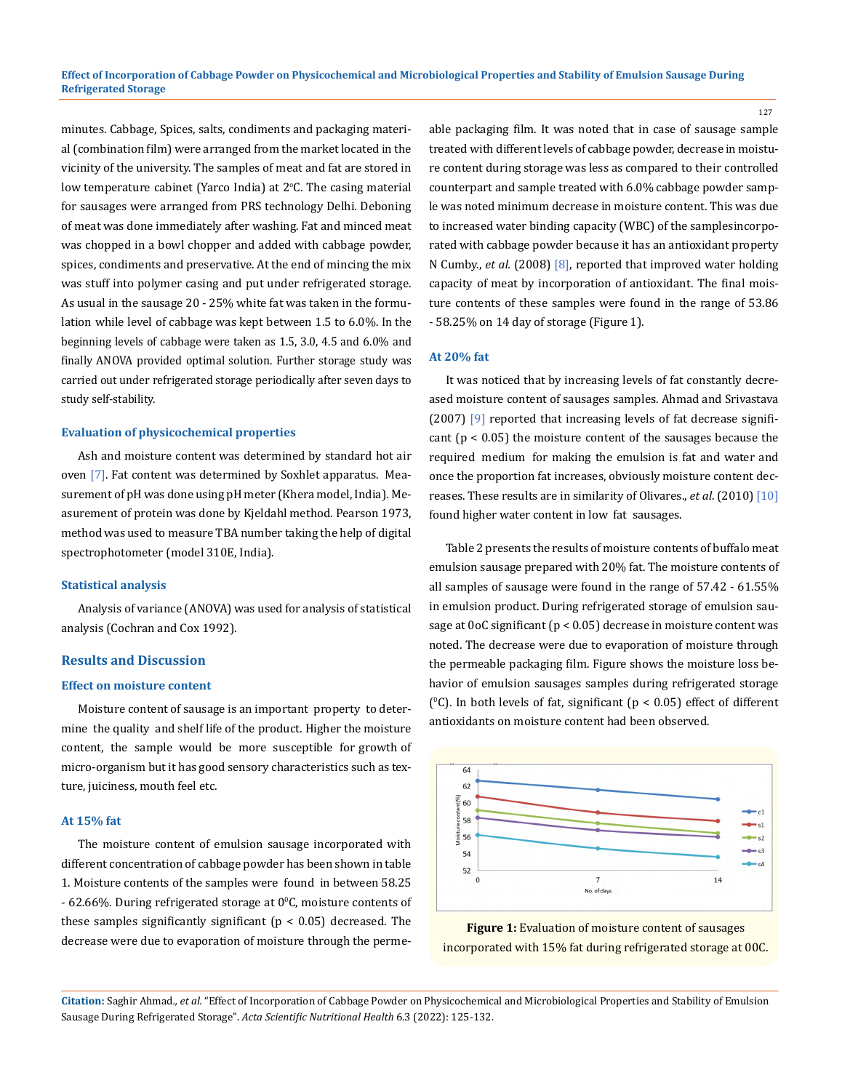minutes. Cabbage, Spices, salts, condiments and packaging material (combination film) were arranged from the market located in the vicinity of the university. The samples of meat and fat are stored in low temperature cabinet (Yarco India) at 2°C. The casing material for sausages were arranged from PRS technology Delhi. Deboning of meat was done immediately after washing. Fat and minced meat was chopped in a bowl chopper and added with cabbage powder, spices, condiments and preservative. At the end of mincing the mix was stuff into polymer casing and put under refrigerated storage. As usual in the sausage 20 - 25% white fat was taken in the formulation while level of cabbage was kept between 1.5 to 6.0%. In the beginning levels of cabbage were taken as 1.5, 3.0, 4.5 and 6.0% and finally ANOVA provided optimal solution. Further storage study was carried out under refrigerated storage periodically after seven days to study self-stability.

#### **Evaluation of physicochemical properties**

Ash and moisture content was determined by standard hot air oven [7]. Fat content was determined by Soxhlet apparatus. Measurement of pH was done using pH meter (Khera model, India). Measurement of protein was done by Kjeldahl method. Pearson 1973, method was used to measure TBA number taking the help of digital spectrophotometer (model 310E, India).

#### **Statistical analysis**

Analysis of variance (ANOVA) was used for analysis of statistical analysis (Cochran and Cox 1992).

#### **Results and Discussion**

#### **Effect on moisture content**

Moisture content of sausage is an important property to determine the quality and shelf life of the product. Higher the moisture content, the sample would be more susceptible for growth of micro-organism but it has good sensory characteristics such as texture, juiciness, mouth feel etc.

#### **At 15% fat**

The moisture content of emulsion sausage incorporated with different concentration of cabbage powder has been shown in table 1. Moisture contents of the samples were found in between 58.25  $-62.66\%$ . During refrigerated storage at 0°C, moisture contents of these samples significantly significant (p < 0.05) decreased. The decrease were due to evaporation of moisture through the permeable packaging film. It was noted that in case of sausage sample treated with different levels of cabbage powder, decrease in moisture content during storage was less as compared to their controlled counterpart and sample treated with 6.0% cabbage powder sample was noted minimum decrease in moisture content. This was due to increased water binding capacity (WBC) of the samples incorporated with cabbage powder because it has an antioxidant property N Cumby., *et al.* (2008) [8], reported that improved water holding capacity of meat by incorporation of antioxidant. The final moisture contents of these samples were found in the range of 53.86 - 58.25% on 14 day of storage (Figure 1).

#### **At 20% fat**

It was noticed that by increasing levels of fat constantly decreased moisture content of sausages samples. Ahmad and Srivastava (2007) [9] reported that increasing levels of fat decrease significant ( $p < 0.05$ ) the moisture content of the sausages because the required medium for making the emulsion is fat and water and once the proportion fat increases, obviously moisture content decreases. These results are in similarity of Olivares., *et al*. (2010) [10] found higher water content in low fat sausages.

Table 2 presents the results of moisture contents of buffalo meat emulsion sausage prepared with 20% fat. The moisture contents of all samples of sausage were found in the range of 57.42 - 61.55% in emulsion product. During refrigerated storage of emulsion sausage at 0oC significant (p < 0.05) decrease in moisture content was noted. The decrease were due to evaporation of moisture through the permeable packaging film. Figure shows the moisture loss behavior of emulsion sausages samples during refrigerated storage (°C). In both levels of fat, significant ( $p < 0.05$ ) effect of different antioxidants on moisture content had been observed.



**Figure 1:** Evaluation of moisture content of sausages incorporated with 15% fat during refrigerated storage at 00C.

**Citation:** Saghir Ahmad*., et al.* "Effect of Incorporation of Cabbage Powder on Physicochemical and Microbiological Properties and Stability of Emulsion Sausage During Refrigerated Storage". *Acta Scientific Nutritional Health* 6.3 (2022): 125-132.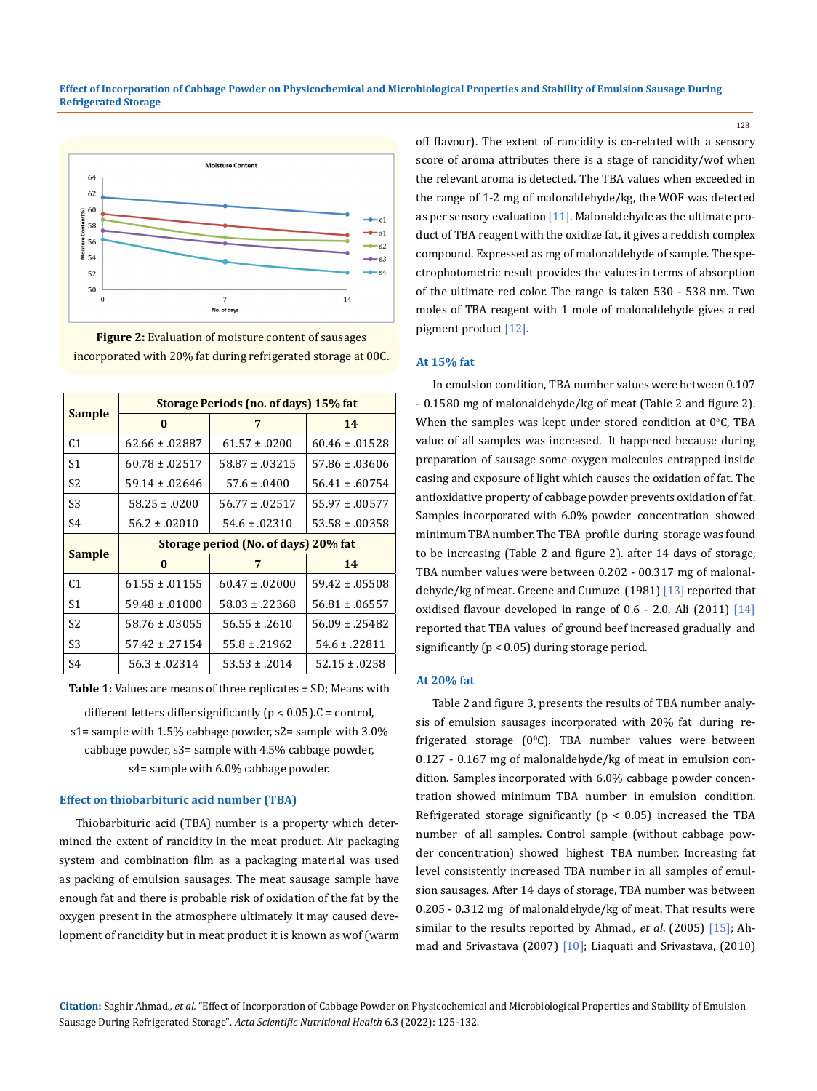

**Figure 2:** Evaluation of moisture content of sausages incorporated with 20% fat during refrigerated storage at 00C.

| <b>Sample</b>  | Storage Periods (no. of days) 15% fat |                    |                     |  |
|----------------|---------------------------------------|--------------------|---------------------|--|
|                | $\bf{0}$                              | 7                  | 14                  |  |
| C <sub>1</sub> | $62.66 \pm .02887$                    | $61.57 \pm .0200$  | $60.46 \pm 0.01528$ |  |
| S1             | $60.78 \pm 0.02517$                   | $58.87 \pm .03215$ | $57.86 \pm .03606$  |  |
| S <sub>2</sub> | $59.14 \pm 0.02646$                   | $57.6 \pm .0400$   | $56.41 \pm .60754$  |  |
| S <sub>3</sub> | $58.25 \pm .0200$                     | $56.77 \pm .02517$ | $55.97 \pm .00577$  |  |
| S <sub>4</sub> | $56.2 \pm .02010$                     | $54.6 \pm .02310$  | $53.58 \pm .00358$  |  |
|                | Storage period (No. of days) 20% fat  |                    |                     |  |
|                |                                       |                    |                     |  |
| <b>Sample</b>  | $\bf{0}$                              | 7                  | 14                  |  |
| C <sub>1</sub> | $61.55 \pm .01155$                    | $60.47 \pm 0.000$  | $59.42 \pm .05508$  |  |
| S1             | $59.48 \pm 0.000$                     | $58.03 \pm .22368$ | $56.81 \pm .06557$  |  |
| S <sub>2</sub> | $58.76 \pm .03055$                    | $56.55 \pm .2610$  | $56.09 \pm .25482$  |  |
| S <sub>3</sub> | $57.42 \pm .27154$                    | $55.8 \pm .21962$  | $54.6 \pm .22811$   |  |

**Table 1:** Values are means of three replicates ± SD; Means with

different letters differ significantly ( $p < 0.05$ ). C = control, s1= sample with 1.5% cabbage powder, s2= sample with 3.0% cabbage powder, s3= sample with 4.5% cabbage powder, s4= sample with 6.0% cabbage powder.

## **Effect on thiobarbituric acid number (TBA)**

Thiobarbituric acid (TBA) number is a property which determined the extent of rancidity in the meat product. Air packaging system and combination film as a packaging material was used as packing of emulsion sausages. The meat sausage sample have enough fat and there is probable risk of oxidation of the fat by the oxygen present in the atmosphere ultimately it may caused development of rancidity but in meat product it is known as wof (warm off flavour). The extent of rancidity is co-related with a sensory score of aroma attributes there is a stage of rancidity/wof when the relevant aroma is detected. The TBA values when exceeded in the range of 1-2 mg of malonaldehyde/kg, the WOF was detected as per sensory evaluation [11]. Malonaldehyde as the ultimate product of TBA reagent with the oxidize fat, it gives a reddish complex compound. Expressed as mg of malonaldehyde of sample. The spectrophotometric result provides the values in terms of absorption of the ultimate red color. The range is taken 530 - 538 nm. Two moles of TBA reagent with 1 mole of malonaldehyde gives a red pigment product [12].

### **At 15% fat**

In emulsion condition, TBA number values were between 0.107 - 0.1580 mg of malonaldehyde/kg of meat (Table 2 and figure 2). When the samples was kept under stored condition at  $0^{\circ}$ C, TBA value of all samples was increased. It happened because during preparation of sausage some oxygen molecules entrapped inside casing and exposure of light which causes the oxidation of fat. The antioxidative property of cabbage powder prevents oxidation of fat. Samples incorporated with 6.0% powder concentration showed minimum TBA number. The TBA profile during storage was found to be increasing (Table 2 and figure 2). after 14 days of storage, TBA number values were between 0.202 - 00.317 mg of malonaldehyde/kg of meat. Greene and Cumuze (1981) [13] reported that oxidised flavour developed in range of 0.6 - 2.0. Ali (2011) [14] reported that TBA values of ground beef increased gradually and significantly (p < 0.05) during storage period.

#### **At 20% fat**

Table 2 and figure 3, presents the results of TBA number analysis of emulsion sausages incorporated with 20% fat during refrigerated storage (0°C). TBA number values were between 0.127 - 0.167 mg of malonaldehyde/kg of meat in emulsion condition. Samples incorporated with 6.0% cabbage powder concentration showed minimum TBA number in emulsion condition. Refrigerated storage significantly ( $p < 0.05$ ) increased the TBA number of all samples. Control sample (without cabbage powder concentration) showed highest TBA number. Increasing fat level consistently increased TBA number in all samples of emulsion sausages. After 14 days of storage, TBA number was between 0.205 - 0.312 mg of malonaldehyde/kg of meat. That results were similar to the results reported by Ahmad., *et al*. (2005) [15]; Ahmad and Srivastava (2007) [10]; Liaquati and Srivastava, (2010)

**Citation:** Saghir Ahmad*., et al.* "Effect of Incorporation of Cabbage Powder on Physicochemical and Microbiological Properties and Stability of Emulsion Sausage During Refrigerated Storage". *Acta Scientific Nutritional Health* 6.3 (2022): 125-132.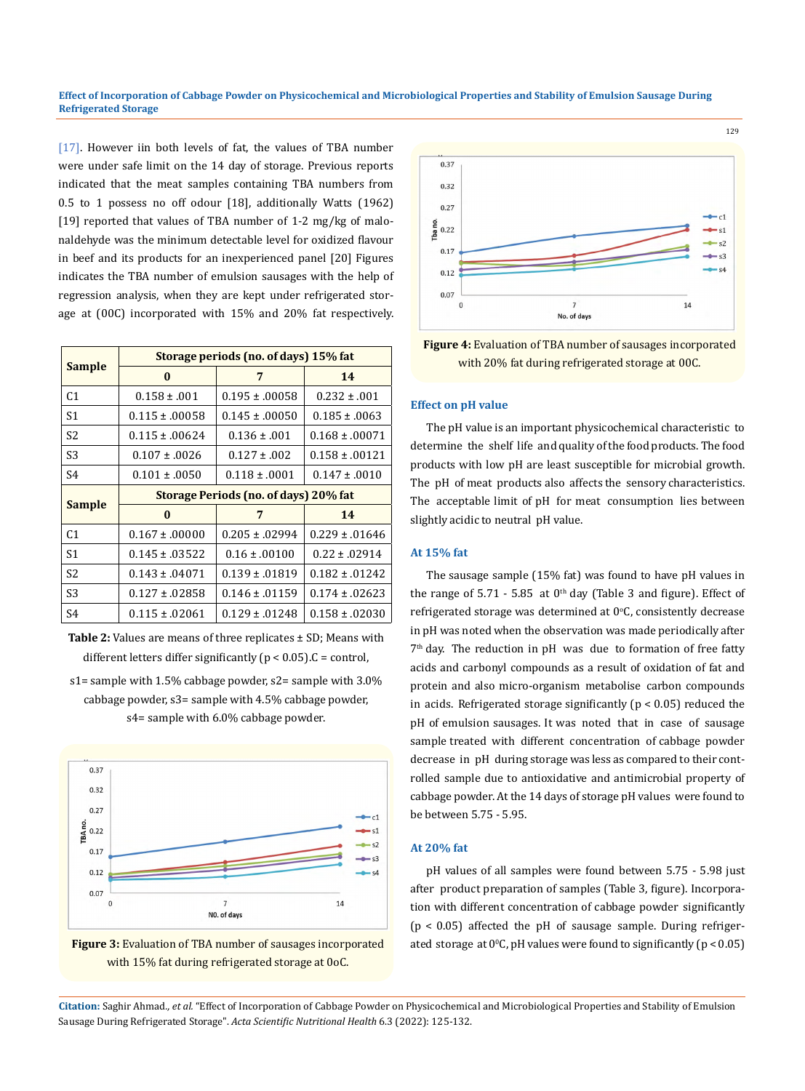[17]. However iin both levels of fat, the values of TBA number were under safe limit on the 14 day of storage. Previous reports indicated that the meat samples containing TBA numbers from 0.5 to 1 possess no off odour [18], additionally Watts (1962) [19] reported that values of TBA number of 1-2 mg/kg of malonaldehyde was the minimum detectable level for oxidized flavour in beef and its products for an inexperienced panel [20] Figures indicates the TBA number of emulsion sausages with the help of regression analysis, when they are kept under refrigerated storage at (00C) incorporated with 15% and 20% fat respectively.

| <b>Sample</b>  | Storage periods (no. of days) 15% fat |                     |                     |  |
|----------------|---------------------------------------|---------------------|---------------------|--|
|                | 0                                     | 7                   | 14                  |  |
| C <sub>1</sub> | $0.158 \pm .001$                      | $0.195 \pm 0.0058$  | $0.232 \pm .001$    |  |
| S1             | $0.115 \pm 0.0058$                    | $0.145 \pm 0.0050$  | $0.185 \pm 0.063$   |  |
| S2             | $0.115 \pm 0.0624$                    | $0.136 \pm 0.01$    | $0.168 \pm 0.0071$  |  |
| S3             | $0.107 \pm 0.026$                     | $0.127 \pm .002$    | $0.158 \pm 0.0121$  |  |
| S4             | $0.101 \pm 0.0050$                    | $0.118 \pm 0.001$   | $0.147 \pm 0.010$   |  |
|                | Storage Periods (no. of days) 20% fat |                     |                     |  |
|                |                                       |                     |                     |  |
| <b>Sample</b>  | 0                                     | 7                   | 14                  |  |
| C <sub>1</sub> | $0.167 \pm 00000$                     | $0.205 \pm .02994$  | $0.229 \pm 0.01646$ |  |
| S <sub>1</sub> | $0.145 \pm .03522$                    | $0.16 \pm 0.0100$   | $0.22 \pm 0.02914$  |  |
| S2             | $0.143 \pm 0.04071$                   | $0.139 \pm .01819$  | $0.182 \pm 0.01242$ |  |
| S <sub>3</sub> | $0.127 \pm 0.02858$                   | $0.146 \pm 0.01159$ | $0.174 \pm 0.02623$ |  |

**Table 2:** Values are means of three replicates ± SD; Means with different letters differ significantly ( $p < 0.05$ ). C = control,

s1= sample with 1.5% cabbage powder, s2= sample with 3.0% cabbage powder, s3= sample with 4.5% cabbage powder, s4= sample with 6.0% cabbage powder.







129

**Figure 4:** Evaluation of TBA number of sausages incorporated with 20% fat during refrigerated storage at 00C.

#### **Effect on pH value**

The pH value is an important physicochemical characteristic to determine the shelf life and quality of the food products. The food products with low pH are least susceptible for microbial growth. The pH of meat products also affects the sensory characteristics. The acceptable limit of pH for meat consumption lies between slightly acidic to neutral pH value.

## **At 15% fat**

The sausage sample (15% fat) was found to have pH values in the range of  $5.71 - 5.85$  at  $0<sup>th</sup>$  day (Table 3 and figure). Effect of refrigerated storage was determined at 0°C, consistently decrease in pH was noted when the observation was made periodically after 7<sup>th</sup> day. The reduction in pH was due to formation of free fatty acids and carbonyl compounds as a result of oxidation of fat and protein and also micro-organism metabolise carbon compounds in acids. Refrigerated storage significantly ( $p < 0.05$ ) reduced the pH of emulsion sausages. It was noted that in case of sausage sample treated with different concentration of cabbage powder decrease in pH during storage was less as compared to their controlled sample due to antioxidative and antimicrobial property of cabbage powder. At the 14 days of storage pH values were found to be between 5.75 - 5.95.

#### **At 20% fat**

pH values of all samples were found between 5.75 - 5.98 just after product preparation of samples (Table 3, figure). Incorporation with different concentration of cabbage powder significantly (p < 0.05) affected the pH of sausage sample. During refrigerated storage at  $0^{\circ}$ C, pH values were found to significantly (p < 0.05)

**Citation:** Saghir Ahmad*., et al.* "Effect of Incorporation of Cabbage Powder on Physicochemical and Microbiological Properties and Stability of Emulsion Sausage During Refrigerated Storage". *Acta Scientific Nutritional Health* 6.3 (2022): 125-132.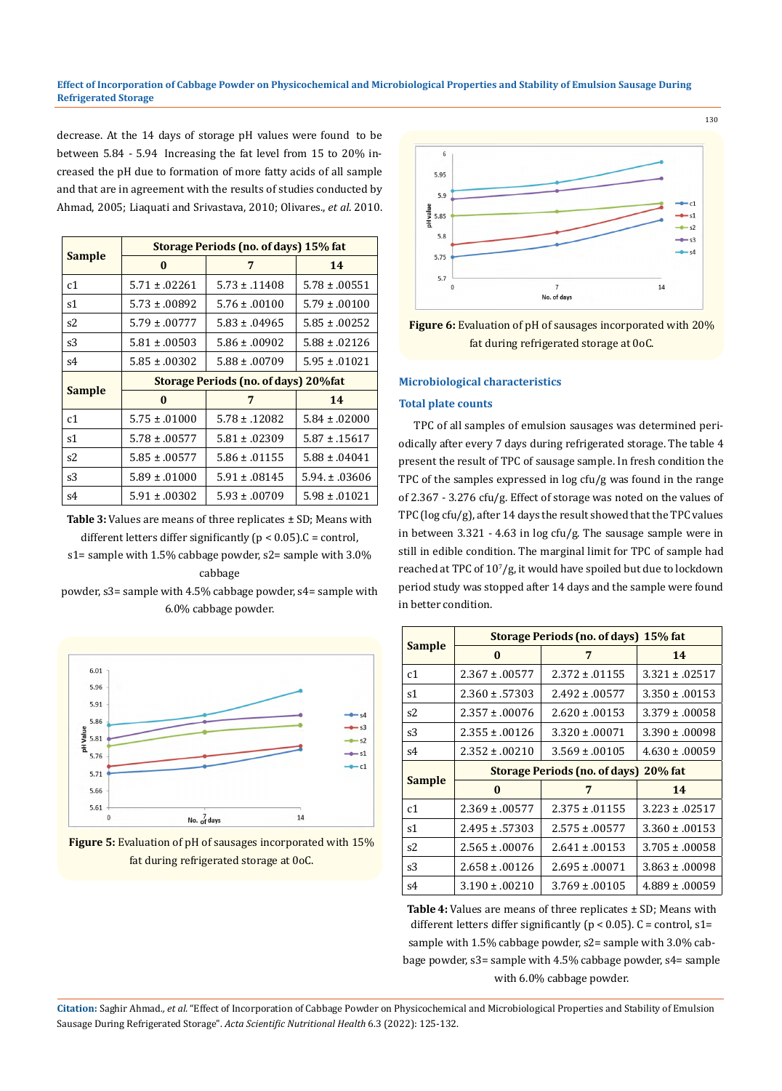decrease. At the 14 days of storage pH values were found to be between 5.84 - 5.94 Increasing the fat level from 15 to 20% increased the pH due to formation of more fatty acids of all sample and that are in agreement with the results of studies conducted by Ahmad, 2005; Liaquati and Srivastava, 2010; Olivares., *et al*. 2010.

| <b>Sample</b>  | Storage Periods (no. of days) 15% fat |                   |                    |  |
|----------------|---------------------------------------|-------------------|--------------------|--|
|                | $\bf{0}$                              | 7                 | 14                 |  |
| c1             | $5.71 \pm .02261$                     | $5.73 \pm .11408$ | $5.78 \pm .00551$  |  |
| s1             | $5.73 \pm .00892$                     | $5.76 \pm 0.0100$ | $5.79 \pm 0.0100$  |  |
| s2             | $5.79 \pm 0.0777$                     | $5.83 \pm .04965$ | $5.85 \pm .00252$  |  |
| s3             | $5.81 \pm .00503$                     | $5.86 \pm .00902$ | $5.88 \pm 0.02126$ |  |
| s4             | $5.85 \pm .00302$                     | $5.88 \pm 0.0709$ | $5.95 \pm .01021$  |  |
| <b>Sample</b>  | Storage Periods (no. of days) 20% fat |                   |                    |  |
|                | $\bf{0}$                              | 7                 | 14                 |  |
| c <sub>1</sub> | $5.75 \pm .01000$                     | $5.78 \pm .12082$ | $5.84 \pm 0.0000$  |  |
| s1             | $5.78 \pm 0.0577$                     | $5.81 \pm .02309$ | $5.87 \pm .15617$  |  |
| s2             | $5.85 \pm .00577$                     | $5.86 \pm .01155$ | $5.88 \pm .04041$  |  |
| s3             | $5.89 \pm .01000$                     | $5.91 \pm .08145$ | $5.94 \pm 0.3606$  |  |
| s4             | $5.91 \pm .00302$                     | $5.93 \pm 0.0709$ | $5.98 \pm 0.01021$ |  |

**Table 3:** Values are means of three replicates ± SD; Means with different letters differ significantly ( $p < 0.05$ ). C = control, s1= sample with 1.5% cabbage powder, s2= sample with 3.0% cabbage

powder, s3= sample with 4.5% cabbage powder, s4= sample with 6.0% cabbage powder.



**Figure 5:** Evaluation of pH of sausages incorporated with 15% fat during refrigerated storage at 0oC.



**Figure 6:** Evaluation of pH of sausages incorporated with 20% fat during refrigerated storage at 0oC.

## **Microbiological characteristics**

#### **Total plate counts**

TPC of all samples of emulsion sausages was determined periodically after every 7 days during refrigerated storage. The table 4 present the result of TPC of sausage sample. In fresh condition the TPC of the samples expressed in log cfu/g was found in the range of 2.367 - 3.276 cfu/g. Effect of storage was noted on the values of TPC (log cfu/g), after 14 days the result showed that the TPC values in between 3.321 - 4.63 in log cfu/g. The sausage sample were in still in edible condition. The marginal limit for TPC of sample had reached at TPC of  $10^7$ /g, it would have spoiled but due to lockdown period study was stopped after 14 days and the sample were found in better condition.

| <b>Sample</b>  | Storage Periods (no. of days) 15% fat        |                    |                    |  |
|----------------|----------------------------------------------|--------------------|--------------------|--|
|                | $\bf{0}$                                     | 7                  | 14                 |  |
| c1             | $2.367 \pm .00577$                           | $2.372 \pm .01155$ | $3.321 \pm .02517$ |  |
| s1             | $2.360 \pm .57303$                           | $2.492 \pm .00577$ | $3.350 \pm .00153$ |  |
| s2             | $2.357 \pm 0.0076$                           | $2.620 \pm .00153$ | $3.379 \pm 0.0058$ |  |
| s3             | $2.355 \pm .00126$                           | $3.320 \pm .00071$ | $3.390 \pm 0.0098$ |  |
| s4             | $2.352 \pm .00210$                           | $3.569 \pm 0.0105$ | $4.630 \pm .00059$ |  |
| <b>Sample</b>  | <b>Storage Periods (no. of days) 20% fat</b> |                    |                    |  |
|                | $\bf{0}$                                     | 7                  | 14                 |  |
| c <sub>1</sub> | $2.369 \pm .00577$                           | $2.375 \pm .01155$ | $3.223 \pm .02517$ |  |
| s1             | $2.495 \pm .57303$                           | $2.575 \pm .00577$ | $3.360 \pm 0.0153$ |  |
| s2             | $2.565 \pm 0.0076$                           | $2.641 \pm 0.0153$ | $3.705 \pm .00058$ |  |
| s3             | $2.658 \pm .00126$                           | $2.695 \pm .00071$ | $3.863 \pm 0.0098$ |  |
| s4             | $3.190 \pm 0.0210$                           | $3.769 \pm 0.0105$ | $4.889 \pm 0.0059$ |  |

**Table 4:** Values are means of three replicates ± SD; Means with different letters differ significantly ( $p < 0.05$ ). C = control, s1= sample with 1.5% cabbage powder, s2= sample with 3.0% cabbage powder, s3= sample with 4.5% cabbage powder, s4= sample with 6.0% cabbage powder.

**Citation:** Saghir Ahmad*., et al.* "Effect of Incorporation of Cabbage Powder on Physicochemical and Microbiological Properties and Stability of Emulsion Sausage During Refrigerated Storage". *Acta Scientific Nutritional Health* 6.3 (2022): 125-132.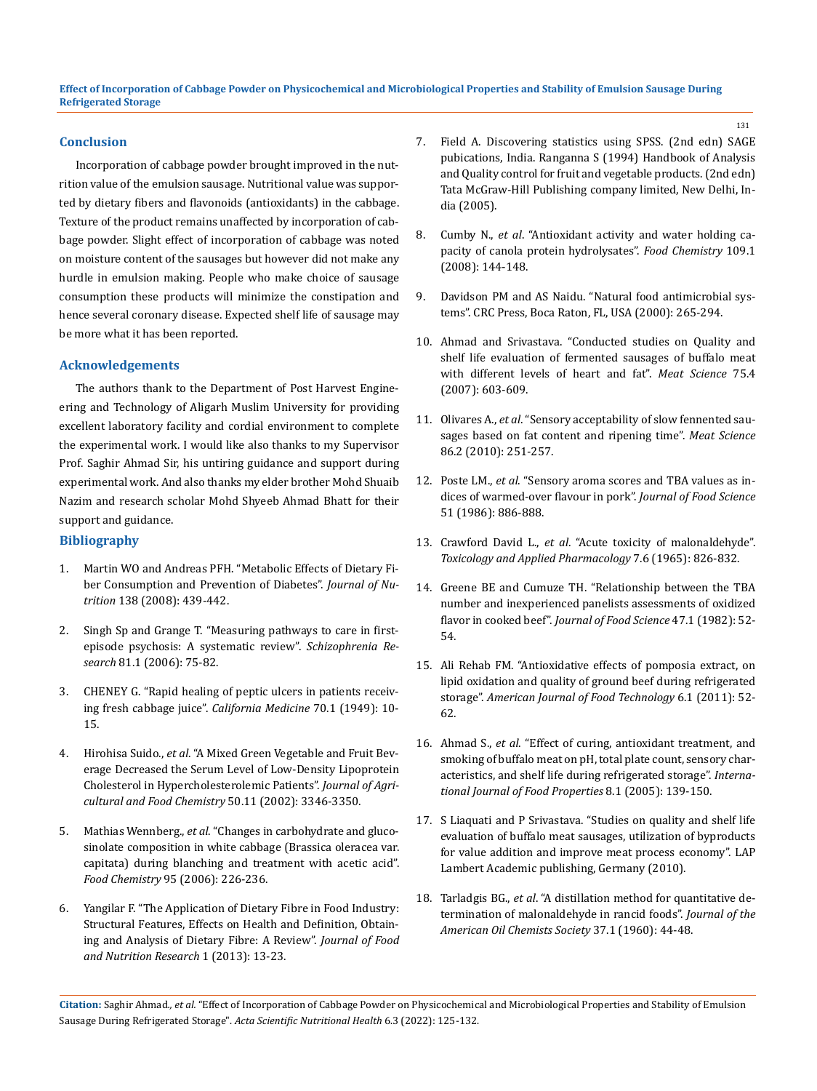#### **Conclusion**

Incorporation of cabbage powder brought improved in the nutrition value of the emulsion sausage. Nutritional value was supported by dietary fibers and flavonoids (antioxidants) in the cabbage. Texture of the product remains unaffected by incorporation of cabbage powder. Slight effect of incorporation of cabbage was noted on moisture content of the sausages but however did not make any hurdle in emulsion making. People who make choice of sausage consumption these products will minimize the constipation and hence several coronary disease. Expected shelf life of sausage may be more what it has been reported.

### **Acknowledgements**

The authors thank to the Department of Post Harvest Engineering and Technology of Aligarh Muslim University for providing excellent laboratory facility and cordial environment to complete the experimental work. I would like also thanks to my Supervisor Prof. Saghir Ahmad Sir, his untiring guidance and support during experimental work. And also thanks my elder brother Mohd Shuaib Nazim and research scholar Mohd Shyeeb Ahmad Bhatt for their support and guidance.

## **Bibliography**

- 1. [Martin WO and Andreas PFH. "Metabolic Effects of Dietary Fi](https://doi.org/10.1093/jn/138.3.439)[ber Consumption and Prevention of Diabetes".](https://doi.org/10.1093/jn/138.3.439) *Journal of Nutrition* [138 \(2008\): 439-442.](https://doi.org/10.1093/jn/138.3.439)
- 2. [Singh Sp and Grange T. "Measuring pathways to care in first](https://doi.org/10.1016/j.schres.2005.09.018)[episode psychosis: A systematic review".](https://doi.org/10.1016/j.schres.2005.09.018) *Schizophrenia Research* [81.1 \(2006\): 75-82.](https://doi.org/10.1016/j.schres.2005.09.018)
- 3. [CHENEY G. "Rapid healing of peptic ulcers in patients receiv](http://www.ncbi.nlm.nih.gov/pmc/articles/pmc1643665/)[ing fresh cabbage juice".](http://www.ncbi.nlm.nih.gov/pmc/articles/pmc1643665/) *California Medicine* 70.1 (1949): 10- [15.](http://www.ncbi.nlm.nih.gov/pmc/articles/pmc1643665/)
- 4. Hirohisa Suido., *et al*[. "A Mixed Green Vegetable and Fruit Bev](https://doi.org/10.1021/jf0116698)[erage Decreased the Serum Level of Low-Density Lipoprotein](https://doi.org/10.1021/jf0116698)  [Cholesterol in Hypercholesterolemic Patients".](https://doi.org/10.1021/jf0116698) *Journal of Agri[cultural and Food Chemistry](https://doi.org/10.1021/jf0116698)* 50.11 (2002): 3346-3350.
- 5. Mathias Wennberg., *et al*[. "Changes in carbohydrate and gluco](https://doi.org/10.1016/j.foodchem.2004.11.057)[sinolate composition in white cabbage \(Brassica oleracea var.](https://doi.org/10.1016/j.foodchem.2004.11.057)  [capitata\) during blanching and treatment with acetic acid".](https://doi.org/10.1016/j.foodchem.2004.11.057)  *Food Chemistry* [95 \(2006\): 226-236.](https://doi.org/10.1016/j.foodchem.2004.11.057)
- 6. [Yangilar F. "The Application of Dietary Fibre in Food Industry:](https://www.researchgate.net/publication/292391065_The_application_of_dietary_fibre_in_foo%20d_industry_Structural_features_effects_on_health_and_definition_obtaining_and_analysis_of_diet%20ary_fibre_A_review)  [Structural Features, Effects on Health and Definition, Obtain](https://www.researchgate.net/publication/292391065_The_application_of_dietary_fibre_in_foo%20d_industry_Structural_features_effects_on_health_and_definition_obtaining_and_analysis_of_diet%20ary_fibre_A_review)[ing and Analysis of Dietary Fibre: A Review".](https://www.researchgate.net/publication/292391065_The_application_of_dietary_fibre_in_foo%20d_industry_Structural_features_effects_on_health_and_definition_obtaining_and_analysis_of_diet%20ary_fibre_A_review) *Journal of Food [and Nutrition Research](https://www.researchgate.net/publication/292391065_The_application_of_dietary_fibre_in_foo%20d_industry_Structural_features_effects_on_health_and_definition_obtaining_and_analysis_of_diet%20ary_fibre_A_review)* 1 (2013): 13-23.
- 7. Field A. Discovering statistics using SPSS. (2nd edn) SAGE pubications, India. Ranganna S (1994) Handbook of Analysis and Quality control for fruit and vegetable products. (2nd edn) Tata McGraw-Hill Publishing company limited, New Delhi, India (2005).
- 8. Cumby N., *et al*[. "Antioxidant activity and water holding ca](https://www.sciencedirect.com/science/article/abs/pii/S0308814607012964)[pacity of canola protein hydrolysates".](https://www.sciencedirect.com/science/article/abs/pii/S0308814607012964) *Food Chemistry* 109.1 [\(2008\): 144-148.](https://www.sciencedirect.com/science/article/abs/pii/S0308814607012964)
- 9. [Davidson PM and AS Naidu. "Natural food antimicrobial sys](https://doi.org/10.1016/j.foodchem.2007.12.039)[tems". CRC Press, Boca Raton, FL, USA \(2000\): 265-294.](https://doi.org/10.1016/j.foodchem.2007.12.039)
- 10. [Ahmad and Srivastava. "Conducted studies on Quality and](https://www.researchgate.net/publication/51778094_Quality_and_shelf_life_evaluation_of_fer)  [shelf life evaluation of fermented sausages of buffalo meat](https://www.researchgate.net/publication/51778094_Quality_and_shelf_life_evaluation_of_fer)  [with different levels of heart and fat".](https://www.researchgate.net/publication/51778094_Quality_and_shelf_life_evaluation_of_fer) *Meat Science* 75.4 [\(2007\): 603-609.](https://www.researchgate.net/publication/51778094_Quality_and_shelf_life_evaluation_of_fer)
- 11. Olivares A., *et al*[. "Sensory acceptability of slow fennented sau](https://pubmed.ncbi.nlm.nih.gov/20510528/)[sages based on fat content and ripening time".](https://pubmed.ncbi.nlm.nih.gov/20510528/) *Meat Science* [86.2 \(2010\): 251-257.](https://pubmed.ncbi.nlm.nih.gov/20510528/)
- 12. Poste LM., *et al*[. "Sensory aroma scores and TBA values as in](https://onlinelibrary.wiley.com/doi/abs/10.1111/j.1365-2621.1986.tb11192.x)[dices of warmed-over flavour in pork".](https://onlinelibrary.wiley.com/doi/abs/10.1111/j.1365-2621.1986.tb11192.x) *Journal of Food Science* [51 \(1986\): 886-888.](https://onlinelibrary.wiley.com/doi/abs/10.1111/j.1365-2621.1986.tb11192.x)
- 13. Crawford David L., *et al*[. "Acute toxicity of malonaldehyde".](https://www.sciencedirect.com/science/article/abs/pii/0041008X65900086)  *[Toxicology and Applied Pharmacology](https://www.sciencedirect.com/science/article/abs/pii/0041008X65900086)* 7.6 (1965): 826-832.
- 14. [Greene BE and Cumuze TH. "Relationship between the TBA](https://doi.org/10.1111/j.1365-2621.1982.tb11025.x)  [number and inexperienced panelists assessments of oxidized](https://doi.org/10.1111/j.1365-2621.1982.tb11025.x)  flavor in cooked beef". *[Journal of Food Science](https://doi.org/10.1111/j.1365-2621.1982.tb11025.x)* 47.1 (1982): 52- [54.](https://doi.org/10.1111/j.1365-2621.1982.tb11025.x)
- 15. [Ali Rehab FM. "Antioxidative effects of pomposia extract, on](https://dx.doi.org/10.3923/ajft.2011.52.62)  [lipid oxidation and quality of ground beef during refrigerated](https://dx.doi.org/10.3923/ajft.2011.52.62)  storage". *[American Journal of Food Technology](https://dx.doi.org/10.3923/ajft.2011.52.62)* 6.1 (2011): 52- [62.](https://dx.doi.org/10.3923/ajft.2011.52.62)
- 16. Ahmad S., *et al*[. "Effect of curing, antioxidant treatment, and](https://doi.org/10.1081/JFP-200048028)  [smoking of buffalo meat on pH, total plate count, sensory char](https://doi.org/10.1081/JFP-200048028)[acteristics, and shelf life during refrigerated storage".](https://doi.org/10.1081/JFP-200048028) *Interna[tional Journal of Food Properties](https://doi.org/10.1081/JFP-200048028)* 8.1 (2005): 139-150.
- 17. S Liaquati and P Srivastava. "Studies on quality and shelf life evaluation of buffalo meat sausages, utilization of byproducts for value addition and improve meat process economy". LAP Lambert Academic publishing, Germany (2010).
- 18. Tarladgis BG., *et al*[. "A distillation method for quantitative de](https://link.springer.com/article/10.1007/BF02630824)[termination of malonaldehyde in rancid foods".](https://link.springer.com/article/10.1007/BF02630824) *Journal of the [American Oil Chemists Society](https://link.springer.com/article/10.1007/BF02630824)* 37.1 (1960): 44-48.

**Citation:** Saghir Ahmad*., et al.* "Effect of Incorporation of Cabbage Powder on Physicochemical and Microbiological Properties and Stability of Emulsion Sausage During Refrigerated Storage". *Acta Scientific Nutritional Health* 6.3 (2022): 125-132.